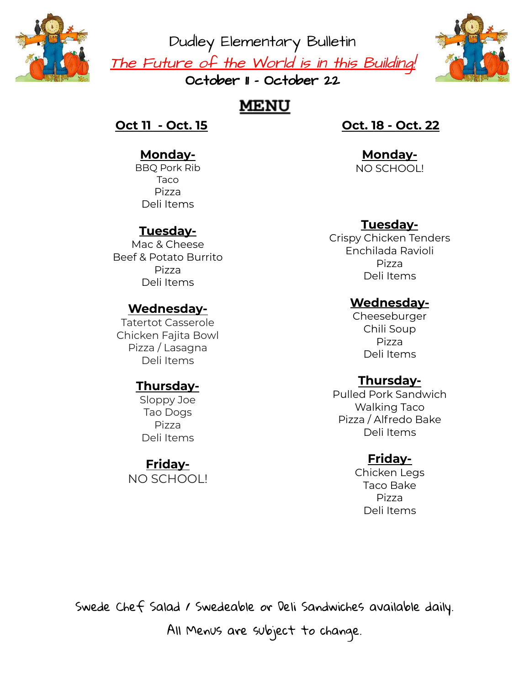

Dudley Elementary Bulletin <u>The Future of the World is in this Building!</u> October II - October 22



# **MENU**

#### **Oct 11 - Oct. 15**

## **Monday-**

BBQ Pork Rib Taco Pizza Deli Items

## **Tuesday-**

Mac & Cheese Beef & Potato Burrito Pizza Deli Items

#### **Wednesday-**

Tatertot Casserole Chicken Fajita Bowl Pizza / Lasagna Deli Items

## **Thursday-**

Sloppy Joe Tao Dogs Pizza Deli Items

#### **Friday-**

NO SCHOOL!

## **Oct. 18 - Oct. 22**

**Monday-**NO SCHOOL!

## **Tuesday-**

Crispy Chicken Tenders Enchilada Ravioli Pizza Deli Items

#### **Wednesday-**

Cheeseburger Chili Soup Pizza Deli Items

## **Thursday-**

Pulled Pork Sandwich Walking Taco Pizza / Alfredo Bake Deli Items

#### **Friday-**

Chicken Legs Taco Bake Pizza Deli Items

Swede Chef Salad / Swedeable or Deli Sandwiches available daily. All Menus are subject to change.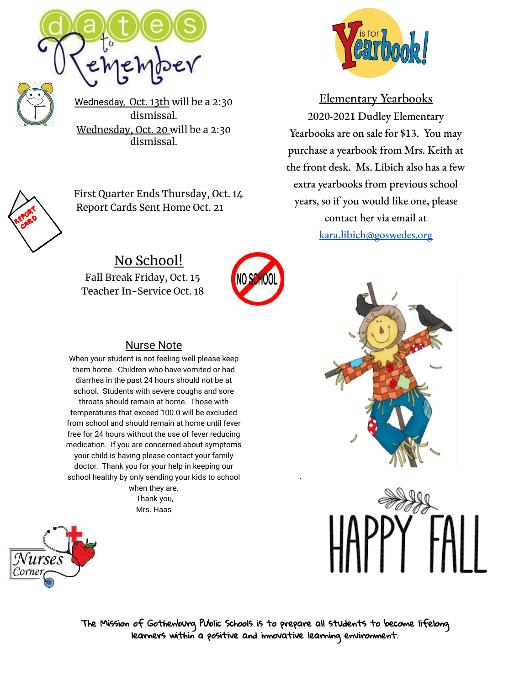



Wednesday, Oct. 13th will be a 2:30 dismissal. Wednesday, Oct. 20 will be a 2:30 dismissal.



First Quarter Ends Thursday, Oct. 14 Report Cards Sent Home Oct. 21

No School! Fall Break Friday, Oct. 15 Teacher In-Service Oct. 18



#### Nurse Note

When your student is not feeling well please keep them home. Children who have vomited or had diarrhea in the past 24 hours should not be at school. Students with severe coughs and sore throats should remain at home. Those with temperatures that exceed 100.0 will be excluded from school and should remain at home until fever free for 24 hours without the use of fever reducing medication. If you are concerned about symptoms your child is having please contact your family doctor. Thank you for your help in keeping our school healthy by only sending your kids to school when they are.

Thank you, Mrs. Haas





Elementary Yearbooks 2020-2021 Dudley Elementary Yearbooks are on sale for \$13. You may purchase a yearbook from Mrs. Keith at the front desk. Ms. Libich also has a few extra yearbooks from previous school years, so if you would like one, please contact her via email at [kara.libich@goswedes.org](mailto:kara.libich@goswedes.org)





The Mission of Gothenburg Public Schools is to prepare all students to become lifelong learners within a positive and innovative learning environment.

.